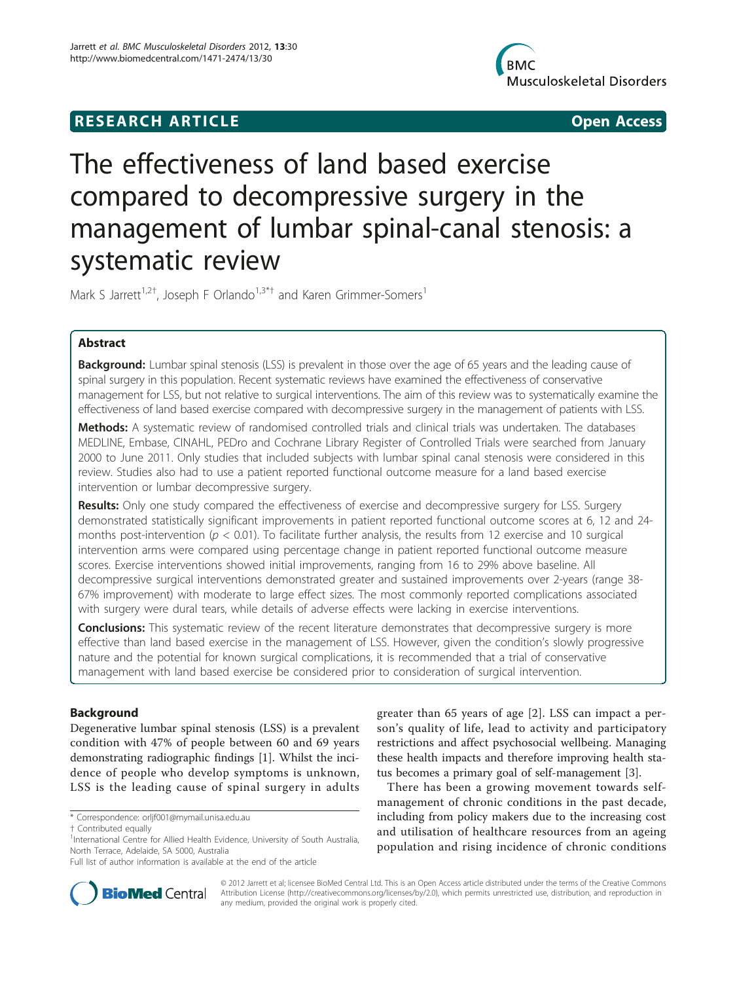# **RESEARCH ARTICLE Example 2014 CONSUMING ACCESS**



# The effectiveness of land based exercise compared to decompressive surgery in the management of lumbar spinal-canal stenosis: a systematic review

Mark S Jarrett<sup>1,2†</sup>, Joseph F Orlando<sup>1,3\*†</sup> and Karen Grimmer-Somers<sup>1</sup>

# Abstract

**Background:** Lumbar spinal stenosis (LSS) is prevalent in those over the age of 65 years and the leading cause of spinal surgery in this population. Recent systematic reviews have examined the effectiveness of conservative management for LSS, but not relative to surgical interventions. The aim of this review was to systematically examine the effectiveness of land based exercise compared with decompressive surgery in the management of patients with LSS.

Methods: A systematic review of randomised controlled trials and clinical trials was undertaken. The databases MEDLINE, Embase, CINAHL, PEDro and Cochrane Library Register of Controlled Trials were searched from January 2000 to June 2011. Only studies that included subjects with lumbar spinal canal stenosis were considered in this review. Studies also had to use a patient reported functional outcome measure for a land based exercise intervention or lumbar decompressive surgery.

Results: Only one study compared the effectiveness of exercise and decompressive surgery for LSS. Surgery demonstrated statistically significant improvements in patient reported functional outcome scores at 6, 12 and 24 months post-intervention ( $p < 0.01$ ). To facilitate further analysis, the results from 12 exercise and 10 surgical intervention arms were compared using percentage change in patient reported functional outcome measure scores. Exercise interventions showed initial improvements, ranging from 16 to 29% above baseline. All decompressive surgical interventions demonstrated greater and sustained improvements over 2-years (range 38- 67% improvement) with moderate to large effect sizes. The most commonly reported complications associated with surgery were dural tears, while details of adverse effects were lacking in exercise interventions.

**Conclusions:** This systematic review of the recent literature demonstrates that decompressive surgery is more effective than land based exercise in the management of LSS. However, given the condition's slowly progressive nature and the potential for known surgical complications, it is recommended that a trial of conservative management with land based exercise be considered prior to consideration of surgical intervention.

# Background

Degenerative lumbar spinal stenosis (LSS) is a prevalent condition with 47% of people between 60 and 69 years demonstrating radiographic findings [\[1\]](#page-8-0). Whilst the incidence of people who develop symptoms is unknown, LSS is the leading cause of spinal surgery in adults

\* Correspondence: [orljf001@mymail.unisa.edu.au](mailto:orljf001@mymail.unisa.edu.au)



There has been a growing movement towards selfmanagement of chronic conditions in the past decade, including from policy makers due to the increasing cost and utilisation of healthcare resources from an ageing population and rising incidence of chronic conditions



© 2012 Jarrett et al; licensee BioMed Central Ltd. This is an Open Access article distributed under the terms of the Creative Commons Attribution License [\(http://creativecommons.org/licenses/by/2.0](http://creativecommons.org/licenses/by/2.0)), which permits unrestricted use, distribution, and reproduction in any medium, provided the original work is properly cited.

<sup>†</sup> Contributed equally <sup>1</sup>

<sup>&</sup>lt;sup>1</sup>International Centre for Allied Health Evidence, University of South Australia, North Terrace, Adelaide, SA 5000, Australia

Full list of author information is available at the end of the article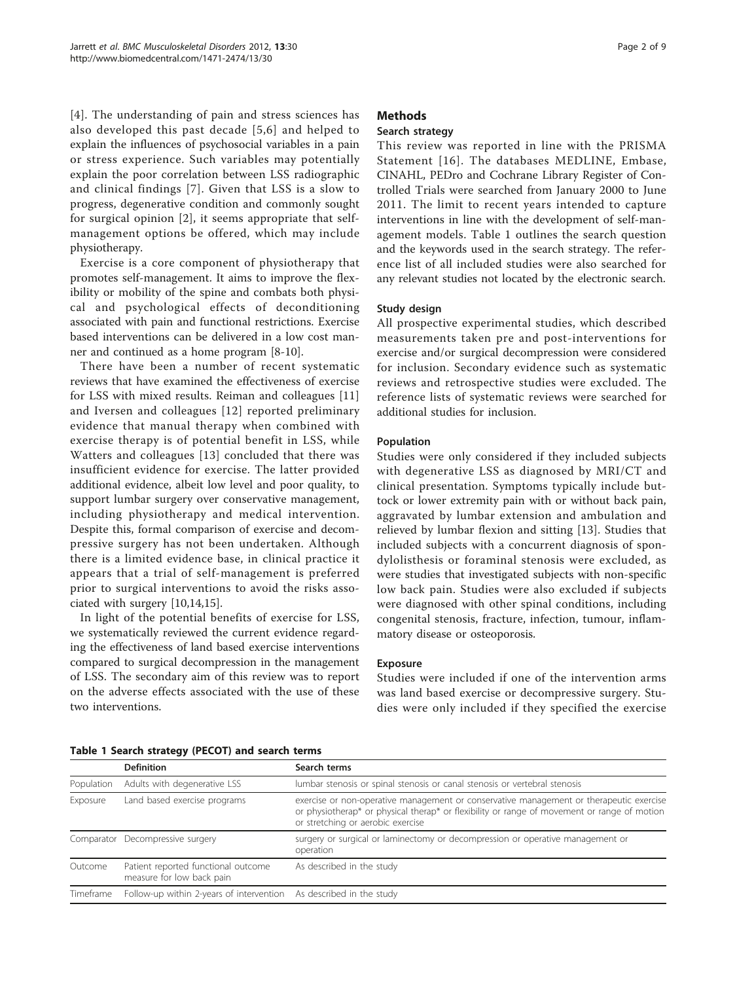[[4](#page-8-0)]. The understanding of pain and stress sciences has also developed this past decade [[5,6\]](#page-8-0) and helped to explain the influences of psychosocial variables in a pain or stress experience. Such variables may potentially explain the poor correlation between LSS radiographic and clinical findings [[7](#page-8-0)]. Given that LSS is a slow to progress, degenerative condition and commonly sought for surgical opinion [[2\]](#page-8-0), it seems appropriate that selfmanagement options be offered, which may include physiotherapy.

Exercise is a core component of physiotherapy that promotes self-management. It aims to improve the flexibility or mobility of the spine and combats both physical and psychological effects of deconditioning associated with pain and functional restrictions. Exercise based interventions can be delivered in a low cost manner and continued as a home program [[8-10](#page-8-0)].

There have been a number of recent systematic reviews that have examined the effectiveness of exercise for LSS with mixed results. Reiman and colleagues [\[11](#page-8-0)] and Iversen and colleagues [\[12\]](#page-8-0) reported preliminary evidence that manual therapy when combined with exercise therapy is of potential benefit in LSS, while Watters and colleagues [\[13\]](#page-8-0) concluded that there was insufficient evidence for exercise. The latter provided additional evidence, albeit low level and poor quality, to support lumbar surgery over conservative management, including physiotherapy and medical intervention. Despite this, formal comparison of exercise and decompressive surgery has not been undertaken. Although there is a limited evidence base, in clinical practice it appears that a trial of self-management is preferred prior to surgical interventions to avoid the risks associated with surgery [\[10,14,15\]](#page-8-0).

In light of the potential benefits of exercise for LSS, we systematically reviewed the current evidence regarding the effectiveness of land based exercise interventions compared to surgical decompression in the management of LSS. The secondary aim of this review was to report on the adverse effects associated with the use of these two interventions.

# Methods

# Search strategy

This review was reported in line with the PRISMA Statement [[16\]](#page-8-0). The databases MEDLINE, Embase, CINAHL, PEDro and Cochrane Library Register of Controlled Trials were searched from January 2000 to June 2011. The limit to recent years intended to capture interventions in line with the development of self-management models. Table 1 outlines the search question and the keywords used in the search strategy. The reference list of all included studies were also searched for any relevant studies not located by the electronic search.

# Study design

All prospective experimental studies, which described measurements taken pre and post-interventions for exercise and/or surgical decompression were considered for inclusion. Secondary evidence such as systematic reviews and retrospective studies were excluded. The reference lists of systematic reviews were searched for additional studies for inclusion.

# Population

Studies were only considered if they included subjects with degenerative LSS as diagnosed by MRI/CT and clinical presentation. Symptoms typically include buttock or lower extremity pain with or without back pain, aggravated by lumbar extension and ambulation and relieved by lumbar flexion and sitting [[13\]](#page-8-0). Studies that included subjects with a concurrent diagnosis of spondylolisthesis or foraminal stenosis were excluded, as were studies that investigated subjects with non-specific low back pain. Studies were also excluded if subjects were diagnosed with other spinal conditions, including congenital stenosis, fracture, infection, tumour, inflammatory disease or osteoporosis.

# Exposure

Studies were included if one of the intervention arms was land based exercise or decompressive surgery. Studies were only included if they specified the exercise

| Table 1 Search strategy (PECOT) and search terms |  |  |  |  |  |  |  |  |
|--------------------------------------------------|--|--|--|--|--|--|--|--|
|--------------------------------------------------|--|--|--|--|--|--|--|--|

|            | <b>Definition</b>                                                  | Search terms                                                                                                                                                                                                                                        |
|------------|--------------------------------------------------------------------|-----------------------------------------------------------------------------------------------------------------------------------------------------------------------------------------------------------------------------------------------------|
| Population | Adults with degenerative LSS                                       | lumbar stenosis or spinal stenosis or canal stenosis or vertebral stenosis                                                                                                                                                                          |
| Exposure   | Land based exercise programs                                       | exercise or non-operative management or conservative management or therapeutic exercise<br>or physiotherap <sup>*</sup> or physical therap <sup>*</sup> or flexibility or range of movement or range of motion<br>or stretching or aerobic exercise |
|            | Comparator Decompressive surgery                                   | surgery or surgical or laminectomy or decompression or operative management or<br>operation                                                                                                                                                         |
| Outcome    | Patient reported functional outcome<br>measure for low back pain   | As described in the study                                                                                                                                                                                                                           |
| Timeframe  | Follow-up within 2-years of intervention As described in the study |                                                                                                                                                                                                                                                     |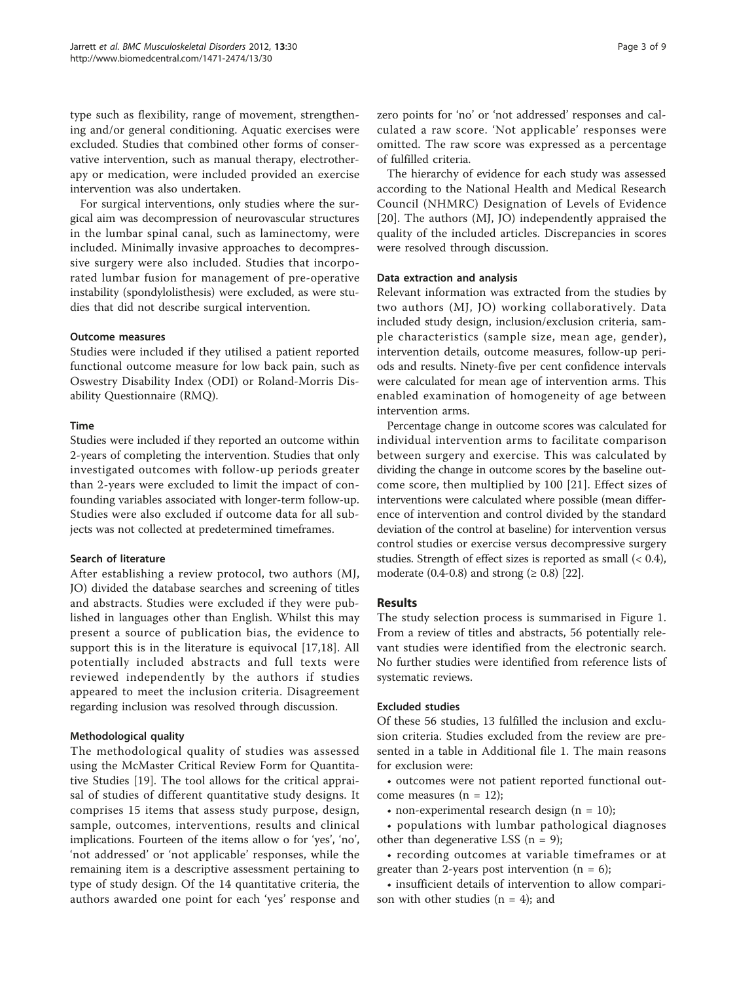type such as flexibility, range of movement, strengthening and/or general conditioning. Aquatic exercises were excluded. Studies that combined other forms of conservative intervention, such as manual therapy, electrotherapy or medication, were included provided an exercise intervention was also undertaken.

For surgical interventions, only studies where the surgical aim was decompression of neurovascular structures in the lumbar spinal canal, such as laminectomy, were included. Minimally invasive approaches to decompressive surgery were also included. Studies that incorporated lumbar fusion for management of pre-operative instability (spondylolisthesis) were excluded, as were studies that did not describe surgical intervention.

# Outcome measures

Studies were included if they utilised a patient reported functional outcome measure for low back pain, such as Oswestry Disability Index (ODI) or Roland-Morris Disability Questionnaire (RMQ).

# Time

Studies were included if they reported an outcome within 2-years of completing the intervention. Studies that only investigated outcomes with follow-up periods greater than 2-years were excluded to limit the impact of confounding variables associated with longer-term follow-up. Studies were also excluded if outcome data for all subjects was not collected at predetermined timeframes.

# Search of literature

After establishing a review protocol, two authors (MJ, JO) divided the database searches and screening of titles and abstracts. Studies were excluded if they were published in languages other than English. Whilst this may present a source of publication bias, the evidence to support this is in the literature is equivocal [[17,18](#page-8-0)]. All potentially included abstracts and full texts were reviewed independently by the authors if studies appeared to meet the inclusion criteria. Disagreement regarding inclusion was resolved through discussion.

# Methodological quality

The methodological quality of studies was assessed using the McMaster Critical Review Form for Quantitative Studies [\[19](#page-8-0)]. The tool allows for the critical appraisal of studies of different quantitative study designs. It comprises 15 items that assess study purpose, design, sample, outcomes, interventions, results and clinical implications. Fourteen of the items allow o for 'yes', 'no', 'not addressed' or 'not applicable' responses, while the remaining item is a descriptive assessment pertaining to type of study design. Of the 14 quantitative criteria, the authors awarded one point for each 'yes' response and zero points for 'no' or 'not addressed' responses and calculated a raw score. 'Not applicable' responses were omitted. The raw score was expressed as a percentage of fulfilled criteria.

The hierarchy of evidence for each study was assessed according to the National Health and Medical Research Council (NHMRC) Designation of Levels of Evidence [[20](#page-8-0)]. The authors (MJ, JO) independently appraised the quality of the included articles. Discrepancies in scores were resolved through discussion.

# Data extraction and analysis

Relevant information was extracted from the studies by two authors (MJ, JO) working collaboratively. Data included study design, inclusion/exclusion criteria, sample characteristics (sample size, mean age, gender), intervention details, outcome measures, follow-up periods and results. Ninety-five per cent confidence intervals were calculated for mean age of intervention arms. This enabled examination of homogeneity of age between intervention arms.

Percentage change in outcome scores was calculated for individual intervention arms to facilitate comparison between surgery and exercise. This was calculated by dividing the change in outcome scores by the baseline outcome score, then multiplied by 100 [\[21\]](#page-8-0). Effect sizes of interventions were calculated where possible (mean difference of intervention and control divided by the standard deviation of the control at baseline) for intervention versus control studies or exercise versus decompressive surgery studies. Strength of effect sizes is reported as small  $\left($  < 0.4), moderate  $(0.4-0.8)$  and strong  $(≥ 0.8)$  [\[22\]](#page-8-0).

# Results

The study selection process is summarised in Figure [1](#page-3-0). From a review of titles and abstracts, 56 potentially relevant studies were identified from the electronic search. No further studies were identified from reference lists of systematic reviews.

# Excluded studies

Of these 56 studies, 13 fulfilled the inclusion and exclusion criteria. Studies excluded from the review are presented in a table in Additional file [1.](#page-7-0) The main reasons for exclusion were:

• outcomes were not patient reported functional outcome measures  $(n = 12)$ ;

• non-experimental research design (n = 10);

• populations with lumbar pathological diagnoses other than degenerative LSS  $(n = 9)$ ;

• recording outcomes at variable timeframes or at greater than 2-years post intervention  $(n = 6)$ ;

• insufficient details of intervention to allow comparison with other studies  $(n = 4)$ ; and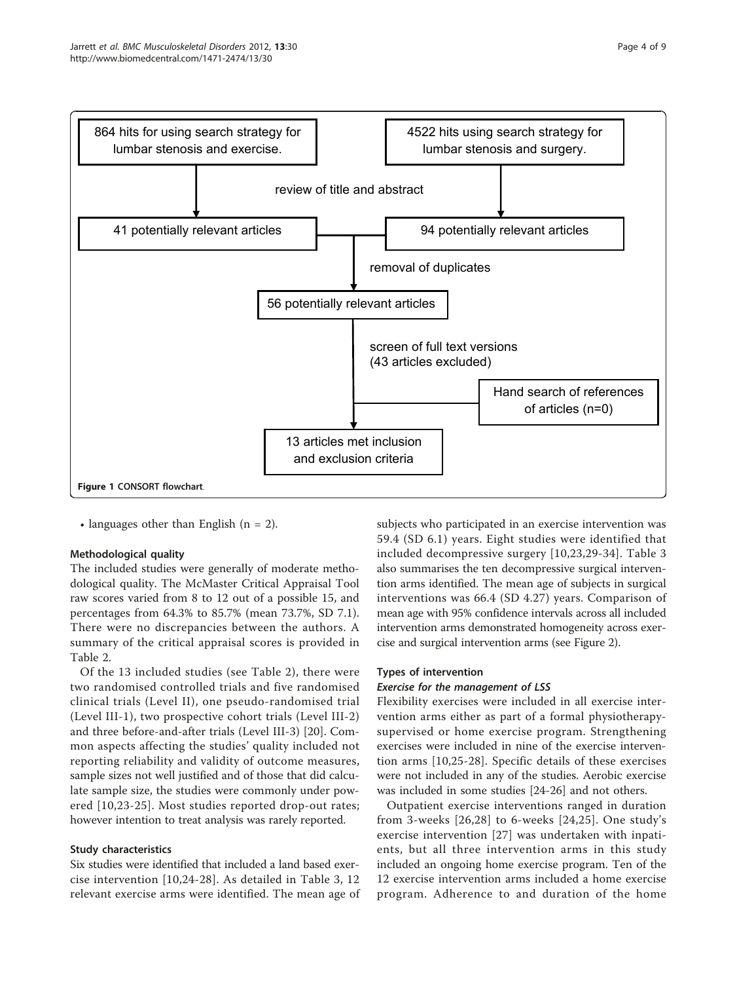<span id="page-3-0"></span>

• languages other than English  $(n = 2)$ .

# Methodological quality

The included studies were generally of moderate methodological quality. The McMaster Critical Appraisal Tool raw scores varied from 8 to 12 out of a possible 15, and percentages from 64.3% to 85.7% (mean 73.7%, SD 7.1). There were no discrepancies between the authors. A summary of the critical appraisal scores is provided in Table [2.](#page-4-0)

Of the 13 included studies (see Table [2\)](#page-4-0), there were two randomised controlled trials and five randomised clinical trials (Level II), one pseudo-randomised trial (Level III-1), two prospective cohort trials (Level III-2) and three before-and-after trials (Level III-3) [[20\]](#page-8-0). Common aspects affecting the studies' quality included not reporting reliability and validity of outcome measures, sample sizes not well justified and of those that did calculate sample size, the studies were commonly under powered [[10](#page-8-0),[23-25](#page-8-0)]. Most studies reported drop-out rates; however intention to treat analysis was rarely reported.

# Study characteristics

Six studies were identified that included a land based exercise intervention [[10,24-28](#page-8-0)]. As detailed in Table [3](#page-4-0), 12 relevant exercise arms were identified. The mean age of subjects who participated in an exercise intervention was 59.4 (SD 6.1) years. Eight studies were identified that included decompressive surgery [[10](#page-8-0),[23,29-34\]](#page-8-0). Table [3](#page-4-0) also summarises the ten decompressive surgical intervention arms identified. The mean age of subjects in surgical interventions was 66.4 (SD 4.27) years. Comparison of mean age with 95% confidence intervals across all included intervention arms demonstrated homogeneity across exercise and surgical intervention arms (see Figure [2\)](#page-5-0).

# Types of intervention

Flexibility exercises were included in all exercise intervention arms either as part of a formal physiotherapysupervised or home exercise program. Strengthening exercises were included in nine of the exercise intervention arms [\[10](#page-8-0),[25-28\]](#page-8-0). Specific details of these exercises were not included in any of the studies. Aerobic exercise was included in some studies [\[24](#page-8-0)-[26](#page-8-0)] and not others.

Outpatient exercise interventions ranged in duration from 3-weeks [[26](#page-8-0),[28\]](#page-8-0) to 6-weeks [[24](#page-8-0),[25](#page-8-0)]. One study's exercise intervention [[27](#page-8-0)] was undertaken with inpatients, but all three intervention arms in this study included an ongoing home exercise program. Ten of the 12 exercise intervention arms included a home exercise program. Adherence to and duration of the home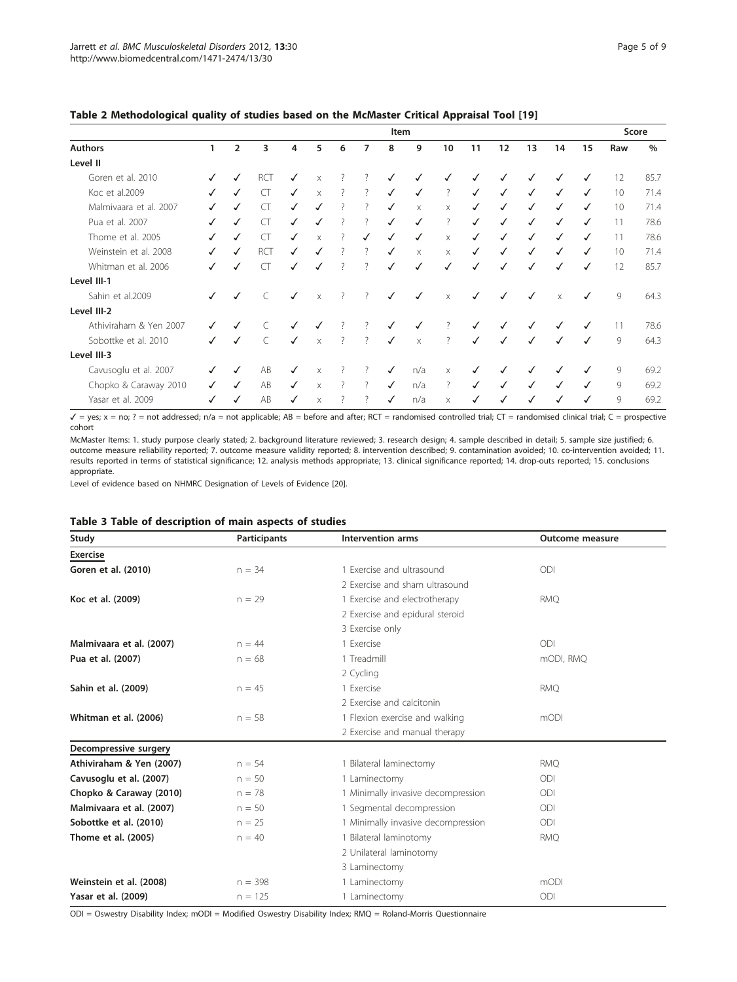|                        |              |              |            |              |                       |                          |                          | Item         |                           |                    |              |              |              |              |              |     | Score |
|------------------------|--------------|--------------|------------|--------------|-----------------------|--------------------------|--------------------------|--------------|---------------------------|--------------------|--------------|--------------|--------------|--------------|--------------|-----|-------|
| <b>Authors</b>         | 1            | 2            | 3          | 4            | 5                     | 6                        | 7                        | 8            | 9                         | 10                 | 11           | 12           | 13           | 14           | 15           | Raw | $\%$  |
| Level II               |              |              |            |              |                       |                          |                          |              |                           |                    |              |              |              |              |              |     |       |
| Goren et al. 2010      | ✓            | $\checkmark$ | <b>RCT</b> | ✓            | $\times$              | $\overline{\phantom{a}}$ | $\overline{?}$           | $\checkmark$ | $\checkmark$              | $\checkmark$       | $\checkmark$ | $\checkmark$ | $\checkmark$ | √            | ✓            | 12  | 85.7  |
| Koc et al.2009         | ✓            | $\checkmark$ | CT         | $\checkmark$ | $\mathsf X$           | $\overline{\cdot}$       | $\overline{\cdot}$       | $\checkmark$ | $\checkmark$              | $\overline{?}$     | $\checkmark$ | $\checkmark$ | $\checkmark$ | $\checkmark$ | $\checkmark$ | 10  | 71.4  |
| Malmiyaara et al. 2007 | ✓            | ✓            | CT         | $\checkmark$ | √                     | $\overline{?}$           | $\overline{?}$           | $\checkmark$ | $\times$                  | $\mathsf X$        | $\checkmark$ | $\checkmark$ | $\checkmark$ | $\checkmark$ | $\checkmark$ | 10  | 71.4  |
| Pua et al. 2007        | $\checkmark$ | ✓            | CT         | ✓            | √                     | $\overline{?}$           | ?                        | $\checkmark$ | $\checkmark$              | $\overline{\cdot}$ | $\checkmark$ | $\checkmark$ | $\checkmark$ | $\checkmark$ | ✓            | 11  | 78.6  |
| Thome et al. 2005      | ✓            |              | CT         | $\checkmark$ | $\boldsymbol{\times}$ | ?                        | $\checkmark$             | $\checkmark$ | $\checkmark$              | $\mathsf X$        | $\checkmark$ | $\checkmark$ | $\checkmark$ | $\checkmark$ | $\checkmark$ | 11  | 78.6  |
| Weinstein et al. 2008  | ✓            | $\checkmark$ | <b>RCT</b> | ✓            | ✓                     | $\overline{\cdot}$       | $\overline{?}$           | $\checkmark$ | $\boldsymbol{\mathsf{X}}$ | X                  | $\checkmark$ | $\checkmark$ | $\checkmark$ | $\checkmark$ | ✓            | 10  | 71.4  |
| Whitman et al. 2006    |              |              | CT         | $\checkmark$ | ✓                     | $\overline{\phantom{a}}$ | $\overline{\phantom{a}}$ | $\checkmark$ | $\checkmark$              | $\checkmark$       | √            | ✓            | $\checkmark$ | ✓            |              | 12  | 85.7  |
| Level III-1            |              |              |            |              |                       |                          |                          |              |                           |                    |              |              |              |              |              |     |       |
| Sahin et al.2009       | $\checkmark$ | √            | C          | $\checkmark$ | $\times$              | $\overline{?}$           | $\overline{?}$           | $\checkmark$ | $\checkmark$              | $\times$           | $\checkmark$ | $\checkmark$ | $\checkmark$ | $\times$     | √            | 9   | 64.3  |
| Level III-2            |              |              |            |              |                       |                          |                          |              |                           |                    |              |              |              |              |              |     |       |
| Athiviraham & Yen 2007 | ✓            | ✓            |            | ✓            | √                     | ?                        | ?                        | $\checkmark$ | $\checkmark$              | $\overline{?}$     | $\checkmark$ | ✓            | ✓            | ✓            |              | 11  | 78.6  |
| Sobottke et al. 2010   |              | ✓            | $\subset$  | $\checkmark$ | $\chi$                | $\overline{?}$           | $\overline{?}$           | $\checkmark$ | $\times$                  | $\overline{?}$     | $\checkmark$ | $\checkmark$ | $\checkmark$ | $\checkmark$ |              | 9   | 64.3  |
| Level III-3            |              |              |            |              |                       |                          |                          |              |                           |                    |              |              |              |              |              |     |       |
| Cavusoglu et al. 2007  | ✓            | $\checkmark$ | AB         | $\checkmark$ | $\times$              | ?                        | ?                        | √            | n/a                       | $\times$           | ✓            | √            | ✓            | √            | ✓            | 9   | 69.2  |
| Chopko & Caraway 2010  | ✓            | ✓            | AB         | ✓            | $\times$              | ?                        | $\overline{\cdot}$       | $\checkmark$ | n/a                       | $\overline{\cdot}$ | $\checkmark$ | ✓            | ✓            | ✓            | ✓            | 9   | 69.2  |
| Yasar et al. 2009      | ✓            | ✓            | AB         | ✓            | $\times$              | $\overline{\phantom{a}}$ | $\overline{\phantom{a}}$ | $\checkmark$ | n/a                       | $\times$           | ✓            | ✓            | $\checkmark$ | ✓            | √            | 9   | 69.2  |

#### <span id="page-4-0"></span>Table 2 Methodological quality of studies based on the McMaster Critical Appraisal Tool [\[19\]](#page-8-0)

 $\sqrt{ }$  = yes; x = no; ? = not addressed; n/a = not applicable; AB = before and after; RCT = randomised controlled trial; CT = randomised clinical trial; C = prospective cohort

McMaster Items: 1. study purpose clearly stated; 2. background literature reviewed; 3. research design; 4. sample described in detail; 5. sample size justified; 6. outcome measure reliability reported; 7. outcome measure validity reported; 8. intervention described; 9. contamination avoided; 10. co-intervention avoided; 11. results reported in terms of statistical significance; 12. analysis methods appropriate; 13. clinical significance reported; 14. drop-outs reported; 15. conclusions appropriate.

Level of evidence based on NHMRC Designation of Levels of Evidence [\[20\]](#page-8-0).

# Table 3 Table of description of main aspects of studies

| Study                    | <b>Participants</b> | Intervention arms                  | Outcome measure |  |  |  |
|--------------------------|---------------------|------------------------------------|-----------------|--|--|--|
| Exercise                 |                     |                                    |                 |  |  |  |
| Goren et al. (2010)      | $n = 34$            | 1 Exercise and ultrasound          | ODI             |  |  |  |
|                          |                     | 2 Exercise and sham ultrasound     |                 |  |  |  |
| Koc et al. (2009)        | $n = 29$            | 1 Exercise and electrotherapy      | <b>RMQ</b>      |  |  |  |
|                          |                     | 2 Exercise and epidural steroid    |                 |  |  |  |
|                          |                     | 3 Exercise only                    |                 |  |  |  |
| Malmivaara et al. (2007) | $n = 44$            | 1 Exercise                         | ODI             |  |  |  |
| Pua et al. (2007)        | $n = 68$            | 1 Treadmill                        | mODI, RMQ       |  |  |  |
|                          |                     | 2 Cycling                          |                 |  |  |  |
| Sahin et al. (2009)      | $n = 45$            | 1 Exercise                         | <b>RMQ</b>      |  |  |  |
|                          |                     | 2 Exercise and calcitonin          |                 |  |  |  |
| Whitman et al. (2006)    | $n = 58$            | 1 Flexion exercise and walking     | mODI            |  |  |  |
|                          |                     | 2 Exercise and manual therapy      |                 |  |  |  |
| Decompressive surgery    |                     |                                    |                 |  |  |  |
| Athiviraham & Yen (2007) | $n = 54$            | 1 Bilateral laminectomy            | <b>RMO</b>      |  |  |  |
| Cavusoglu et al. (2007)  | $n = 50$            | 1 Laminectomy                      | ODI             |  |  |  |
| Chopko & Caraway (2010)  | $n = 78$            | 1 Minimally invasive decompression | ODI             |  |  |  |
| Malmivaara et al. (2007) | $n = 50$            | 1 Segmental decompression          | ODI             |  |  |  |
| Sobottke et al. (2010)   | $n = 25$            | 1 Minimally invasive decompression | ODI             |  |  |  |
| Thome et al. (2005)      | $n = 40$            | 1 Bilateral laminotomy             | <b>RMQ</b>      |  |  |  |
|                          |                     | 2 Unilateral laminotomy            |                 |  |  |  |
|                          |                     | 3 Laminectomy                      |                 |  |  |  |
| Weinstein et al. (2008)  | $n = 398$           | 1 Laminectomy                      | mODI            |  |  |  |
| Yasar et al. (2009)      | $n = 125$           | 1 Laminectomy                      | ODI             |  |  |  |

ODI = Oswestry Disability Index; mODI = Modified Oswestry Disability Index; RMQ = Roland-Morris Questionnaire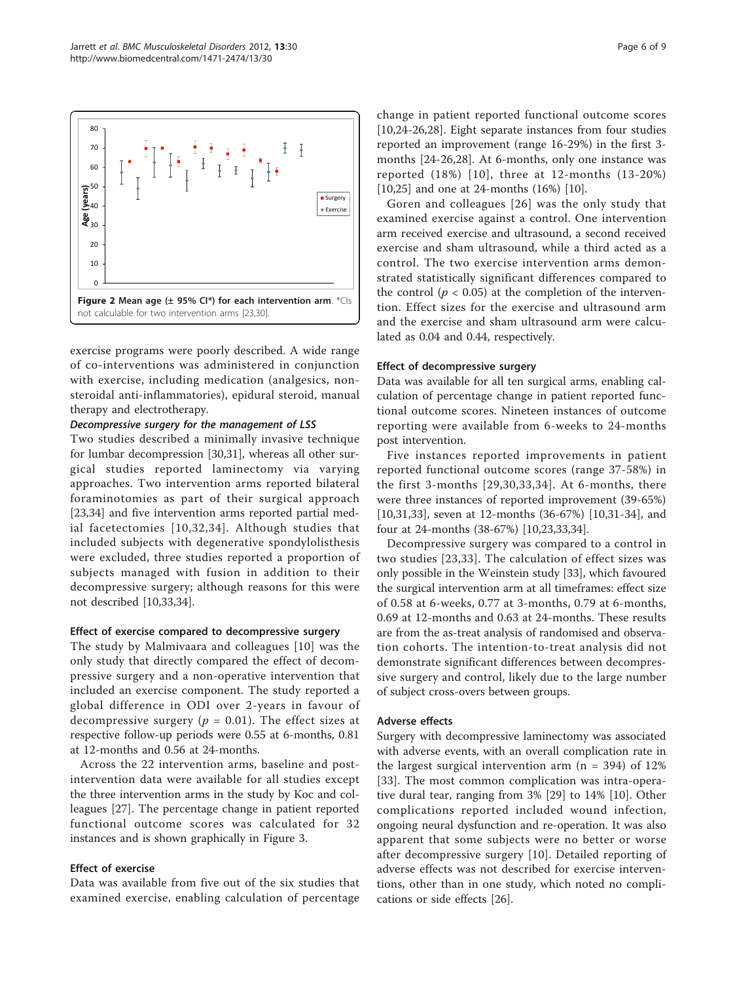<span id="page-5-0"></span>

exercise programs were poorly described. A wide range of co-interventions was administered in conjunction with exercise, including medication (analgesics, nonsteroidal anti-inflammatories), epidural steroid, manual therapy and electrotherapy.

Two studies described a minimally invasive technique for lumbar decompression [[30,31\]](#page-8-0), whereas all other surgical studies reported laminectomy via varying approaches. Two intervention arms reported bilateral foraminotomies as part of their surgical approach [[23,34\]](#page-8-0) and five intervention arms reported partial medial facetectomies [[10,32,34](#page-8-0)]. Although studies that included subjects with degenerative spondylolisthesis were excluded, three studies reported a proportion of subjects managed with fusion in addition to their decompressive surgery; although reasons for this were not described [[10,33,34](#page-8-0)].

# Effect of exercise compared to decompressive surgery

The study by Malmivaara and colleagues [[10](#page-8-0)] was the only study that directly compared the effect of decompressive surgery and a non-operative intervention that included an exercise component. The study reported a global difference in ODI over 2-years in favour of decompressive surgery ( $p = 0.01$ ). The effect sizes at respective follow-up periods were 0.55 at 6-months, 0.81 at 12-months and 0.56 at 24-months.

Across the 22 intervention arms, baseline and postintervention data were available for all studies except the three intervention arms in the study by Koc and colleagues [\[27](#page-8-0)]. The percentage change in patient reported functional outcome scores was calculated for 32 instances and is shown graphically in Figure [3.](#page-6-0)

# Effect of exercise

Data was available from five out of the six studies that examined exercise, enabling calculation of percentage

change in patient reported functional outcome scores [[10,24-26,28](#page-8-0)]. Eight separate instances from four studies reported an improvement (range 16-29%) in the first 3 months [[24-26,28](#page-8-0)]. At 6-months, only one instance was reported (18%) [[10\]](#page-8-0), three at 12-months (13-20%) [[10,25\]](#page-8-0) and one at 24-months (16%) [[10](#page-8-0)].

Goren and colleagues [[26\]](#page-8-0) was the only study that examined exercise against a control. One intervention arm received exercise and ultrasound, a second received exercise and sham ultrasound, while a third acted as a control. The two exercise intervention arms demonstrated statistically significant differences compared to the control ( $p < 0.05$ ) at the completion of the intervention. Effect sizes for the exercise and ultrasound arm and the exercise and sham ultrasound arm were calculated as 0.04 and 0.44, respectively.

# Effect of decompressive surgery

Data was available for all ten surgical arms, enabling calculation of percentage change in patient reported functional outcome scores. Nineteen instances of outcome reporting were available from 6-weeks to 24-months post intervention.

Five instances reported improvements in patient reported functional outcome scores (range 37-58%) in the first 3-months [[29](#page-8-0),[30](#page-8-0),[33](#page-8-0),[34](#page-8-0)]. At 6-months, there were three instances of reported improvement (39-65%) [[10,31,33\]](#page-8-0), seven at 12-months (36-67%) [\[10,31](#page-8-0)-[34\]](#page-8-0), and four at 24-months (38-67%) [[10](#page-8-0),[23,33,34](#page-8-0)].

Decompressive surgery was compared to a control in two studies [[23](#page-8-0),[33](#page-8-0)]. The calculation of effect sizes was only possible in the Weinstein study [\[33](#page-8-0)], which favoured the surgical intervention arm at all timeframes: effect size of 0.58 at 6-weeks, 0.77 at 3-months, 0.79 at 6-months, 0.69 at 12-months and 0.63 at 24-months. These results are from the as-treat analysis of randomised and observation cohorts. The intention-to-treat analysis did not demonstrate significant differences between decompressive surgery and control, likely due to the large number of subject cross-overs between groups.

# Adverse effects

Surgery with decompressive laminectomy was associated with adverse events, with an overall complication rate in the largest surgical intervention arm  $(n = 394)$  of 12% [[33](#page-8-0)]. The most common complication was intra-operative dural tear, ranging from 3% [\[29](#page-8-0)] to 14% [[10\]](#page-8-0). Other complications reported included wound infection, ongoing neural dysfunction and re-operation. It was also apparent that some subjects were no better or worse after decompressive surgery [[10](#page-8-0)]. Detailed reporting of adverse effects was not described for exercise interventions, other than in one study, which noted no complications or side effects [[26\]](#page-8-0).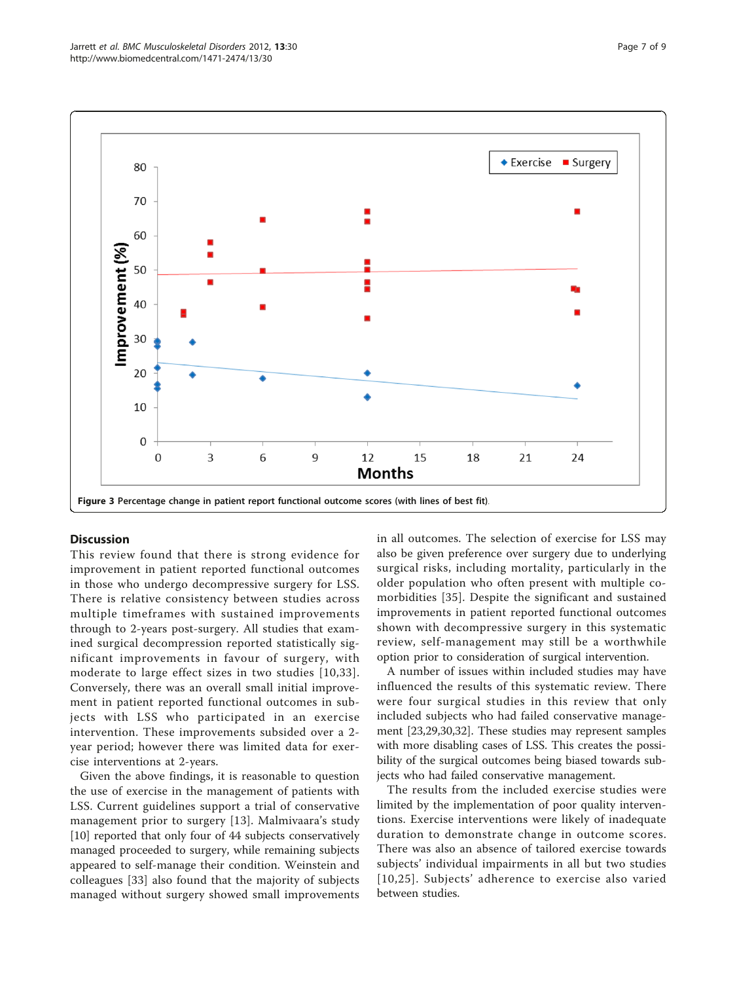<span id="page-6-0"></span>

# **Discussion**

This review found that there is strong evidence for improvement in patient reported functional outcomes in those who undergo decompressive surgery for LSS. There is relative consistency between studies across multiple timeframes with sustained improvements through to 2-years post-surgery. All studies that examined surgical decompression reported statistically significant improvements in favour of surgery, with moderate to large effect sizes in two studies [\[10,33\]](#page-8-0). Conversely, there was an overall small initial improvement in patient reported functional outcomes in subjects with LSS who participated in an exercise intervention. These improvements subsided over a 2 year period; however there was limited data for exercise interventions at 2-years.

Given the above findings, it is reasonable to question the use of exercise in the management of patients with LSS. Current guidelines support a trial of conservative management prior to surgery [\[13](#page-8-0)]. Malmivaara's study [[10\]](#page-8-0) reported that only four of 44 subjects conservatively managed proceeded to surgery, while remaining subjects appeared to self-manage their condition. Weinstein and colleagues [\[33](#page-8-0)] also found that the majority of subjects managed without surgery showed small improvements in all outcomes. The selection of exercise for LSS may also be given preference over surgery due to underlying surgical risks, including mortality, particularly in the older population who often present with multiple comorbidities [[35](#page-8-0)]. Despite the significant and sustained improvements in patient reported functional outcomes shown with decompressive surgery in this systematic review, self-management may still be a worthwhile option prior to consideration of surgical intervention.

A number of issues within included studies may have influenced the results of this systematic review. There were four surgical studies in this review that only included subjects who had failed conservative management [\[23,29,30,32\]](#page-8-0). These studies may represent samples with more disabling cases of LSS. This creates the possibility of the surgical outcomes being biased towards subjects who had failed conservative management.

The results from the included exercise studies were limited by the implementation of poor quality interventions. Exercise interventions were likely of inadequate duration to demonstrate change in outcome scores. There was also an absence of tailored exercise towards subjects' individual impairments in all but two studies [[10](#page-8-0),[25](#page-8-0)]. Subjects' adherence to exercise also varied between studies.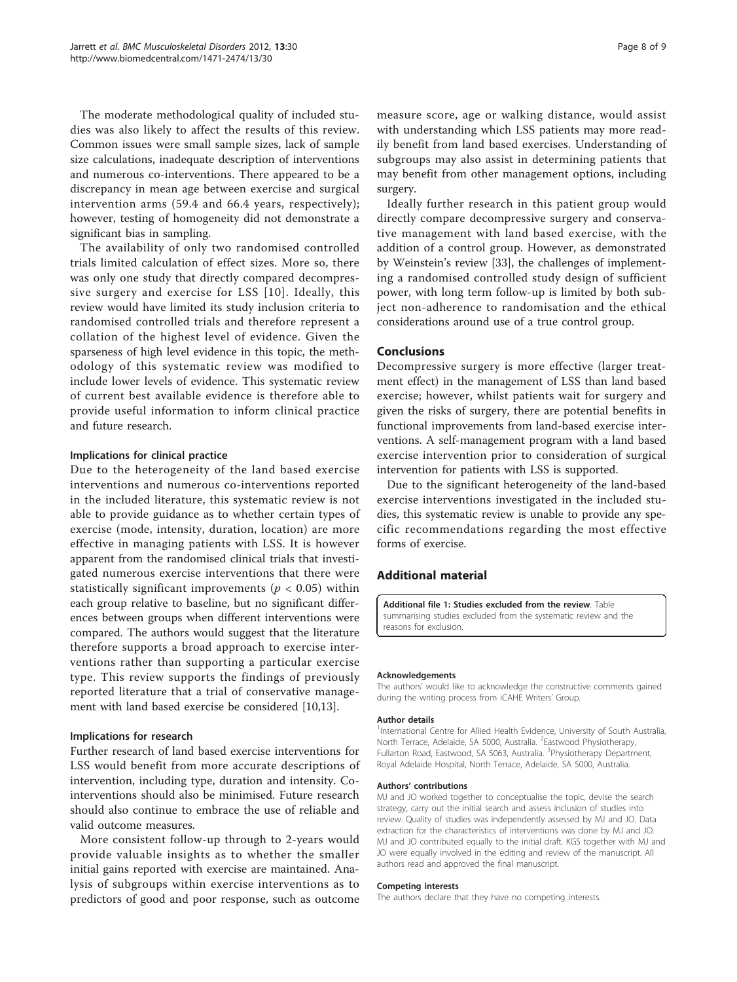<span id="page-7-0"></span>The moderate methodological quality of included studies was also likely to affect the results of this review. Common issues were small sample sizes, lack of sample size calculations, inadequate description of interventions and numerous co-interventions. There appeared to be a discrepancy in mean age between exercise and surgical intervention arms (59.4 and 66.4 years, respectively); however, testing of homogeneity did not demonstrate a significant bias in sampling.

The availability of only two randomised controlled trials limited calculation of effect sizes. More so, there was only one study that directly compared decompressive surgery and exercise for LSS [[10\]](#page-8-0). Ideally, this review would have limited its study inclusion criteria to randomised controlled trials and therefore represent a collation of the highest level of evidence. Given the sparseness of high level evidence in this topic, the methodology of this systematic review was modified to include lower levels of evidence. This systematic review of current best available evidence is therefore able to provide useful information to inform clinical practice and future research.

# Implications for clinical practice

Due to the heterogeneity of the land based exercise interventions and numerous co-interventions reported in the included literature, this systematic review is not able to provide guidance as to whether certain types of exercise (mode, intensity, duration, location) are more effective in managing patients with LSS. It is however apparent from the randomised clinical trials that investigated numerous exercise interventions that there were statistically significant improvements ( $p < 0.05$ ) within each group relative to baseline, but no significant differences between groups when different interventions were compared. The authors would suggest that the literature therefore supports a broad approach to exercise interventions rather than supporting a particular exercise type. This review supports the findings of previously reported literature that a trial of conservative management with land based exercise be considered [\[10,13](#page-8-0)].

# Implications for research

Further research of land based exercise interventions for LSS would benefit from more accurate descriptions of intervention, including type, duration and intensity. Cointerventions should also be minimised. Future research should also continue to embrace the use of reliable and valid outcome measures.

More consistent follow-up through to 2-years would provide valuable insights as to whether the smaller initial gains reported with exercise are maintained. Analysis of subgroups within exercise interventions as to predictors of good and poor response, such as outcome measure score, age or walking distance, would assist with understanding which LSS patients may more readily benefit from land based exercises. Understanding of subgroups may also assist in determining patients that may benefit from other management options, including surgery.

Ideally further research in this patient group would directly compare decompressive surgery and conservative management with land based exercise, with the addition of a control group. However, as demonstrated by Weinstein's review [[33](#page-8-0)], the challenges of implementing a randomised controlled study design of sufficient power, with long term follow-up is limited by both subject non-adherence to randomisation and the ethical considerations around use of a true control group.

# Conclusions

Decompressive surgery is more effective (larger treatment effect) in the management of LSS than land based exercise; however, whilst patients wait for surgery and given the risks of surgery, there are potential benefits in functional improvements from land-based exercise interventions. A self-management program with a land based exercise intervention prior to consideration of surgical intervention for patients with LSS is supported.

Due to the significant heterogeneity of the land-based exercise interventions investigated in the included studies, this systematic review is unable to provide any specific recommendations regarding the most effective forms of exercise.

# Additional material

[Additional file 1: S](http://www.biomedcentral.com/content/supplementary/1471-2474-13-30-S1.DOC)tudies excluded from the review. Table summarising studies excluded from the systematic review and the reasons for exclusion.

#### Acknowledgements

The authors' would like to acknowledge the constructive comments gained during the writing process from iCAHE Writers' Group.

#### Author details

<sup>1</sup>International Centre for Allied Health Evidence, University of South Australia North Terrace, Adelaide, SA 5000, Australia. <sup>2</sup> Eastwood Physiotherapy, Fullarton Road, Eastwood, SA 5063, Australia. <sup>3</sup>Physiotherapy Department Royal Adelaide Hospital, North Terrace, Adelaide, SA 5000, Australia.

#### Authors' contributions

MJ and JO worked together to conceptualise the topic, devise the search strategy, carry out the initial search and assess inclusion of studies into review. Quality of studies was independently assessed by MJ and JO. Data extraction for the characteristics of interventions was done by MJ and JO. MJ and JO contributed equally to the initial draft. KGS together with MJ and JO were equally involved in the editing and review of the manuscript. All authors read and approved the final manuscript.

#### Competing interests

The authors declare that they have no competing interests.